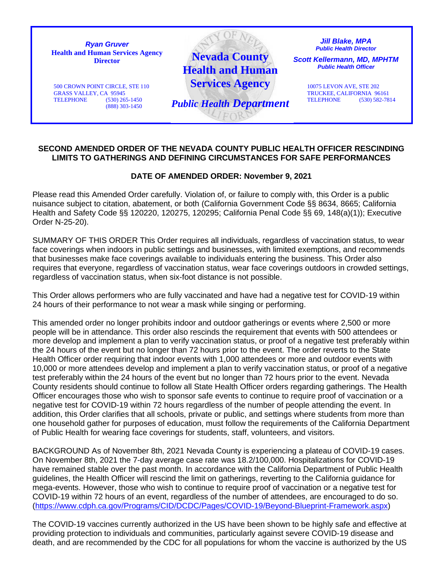

## **SECOND AMENDED ORDER OF THE NEVADA COUNTY PUBLIC HEALTH OFFICER RESCINDING LIMITS TO GATHERINGS AND DEFINING CIRCUMSTANCES FOR SAFE PERFORMANCES**

## **DATE OF AMENDED ORDER: November 9, 2021**

Please read this Amended Order carefully. Violation of, or failure to comply with, this Order is a public nuisance subject to citation, abatement, or both (California Government Code §§ 8634, 8665; California Health and Safety Code §§ 120220, 120275, 120295; California Penal Code §§ 69, 148(a)(1)); Executive Order N-25-20).

SUMMARY OF THIS ORDER This Order requires all individuals, regardless of vaccination status, to wear face coverings when indoors in public settings and businesses, with limited exemptions, and recommends that businesses make face coverings available to individuals entering the business. This Order also requires that everyone, regardless of vaccination status, wear face coverings outdoors in crowded settings, regardless of vaccination status, when six-foot distance is not possible.

This Order allows performers who are fully vaccinated and have had a negative test for COVID-19 within 24 hours of their performance to not wear a mask while singing or performing.

This amended order no longer prohibits indoor and outdoor gatherings or events where 2,500 or more people will be in attendance. This order also rescinds the requirement that events with 500 attendees or more develop and implement a plan to verify vaccination status, or proof of a negative test preferably within the 24 hours of the event but no longer than 72 hours prior to the event. The order reverts to the State Health Officer order requiring that indoor events with 1,000 attendees or more and outdoor events with 10,000 or more attendees develop and implement a plan to verify vaccination status, or proof of a negative test preferably within the 24 hours of the event but no longer than 72 hours prior to the event. Nevada County residents should continue to follow all State Health Officer orders regarding gatherings. The Health Officer encourages those who wish to sponsor safe events to continue to require proof of vaccination or a negative test for COVID-19 within 72 hours regardless of the number of people attending the event. In addition, this Order clarifies that all schools, private or public, and settings where students from more than one household gather for purposes of education, must follow the requirements of the California Department of Public Health for wearing face coverings for students, staff, volunteers, and visitors.

BACKGROUND As of November 8th, 2021 Nevada County is experiencing a plateau of COVID-19 cases. On November 8th, 2021 the 7-day average case rate was 18.2/100,000. Hospitalizations for COVID-19 have remained stable over the past month. In accordance with the California Department of Public Health guidelines, the Health Officer will rescind the limit on gatherings, reverting to the California guidance for mega-events. However, those who wish to continue to require proof of vaccination or a negative test for COVID-19 within 72 hours of an event, regardless of the number of attendees, are encouraged to do so. [\(https://www.cdph.ca.gov/Programs/CID/DCDC/Pages/COVID-19/Beyond-Blueprint-Framework.aspx\)](https://www.cdph.ca.gov/Programs/CID/DCDC/Pages/COVID-19/Beyond-Blueprint-Framework.aspx)

The COVID-19 vaccines currently authorized in the US have been shown to be highly safe and effective at providing protection to individuals and communities, particularly against severe COVID-19 disease and death, and are recommended by the CDC for all populations for whom the vaccine is authorized by the US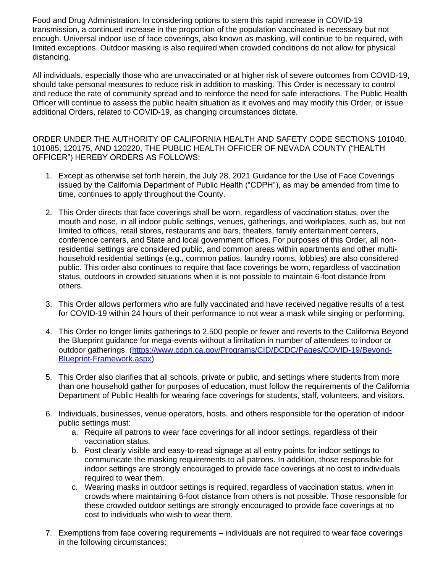Food and Drug Administration. In considering options to stem this rapid increase in COVID-19 transmission, a continued increase in the proportion of the population vaccinated is necessary but not enough. Universal indoor use of face coverings, also known as masking, will continue to be required, with limited exceptions. Outdoor masking is also required when crowded conditions do not allow for physical distancing.

All individuals, especially those who are unvaccinated or at higher risk of severe outcomes from COVID-19, should take personal measures to reduce risk in addition to masking. This Order is necessary to control and reduce the rate of community spread and to reinforce the need for safe interactions. The Public Health Officer will continue to assess the public health situation as it evolves and may modify this Order, or issue additional Orders, related to COVID-19, as changing circumstances dictate.

ORDER UNDER THE AUTHORITY OF CALIFORNIA HEALTH AND SAFETY CODE SECTIONS 101040, 101085, 120175, AND 120220, THE PUBLIC HEALTH OFFICER OF NEVADA COUNTY ("HEALTH OFFICER") HEREBY ORDERS AS FOLLOWS:

- 1. Except as otherwise set forth herein, the July 28, 2021 Guidance for the Use of Face Coverings issued by the California Department of Public Health ("CDPH"), as may be amended from time to time, continues to apply throughout the County.
- 2. This Order directs that face coverings shall be worn, regardless of vaccination status, over the mouth and nose, in all indoor public settings, venues, gatherings, and workplaces, such as, but not limited to offices, retail stores, restaurants and bars, theaters, family entertainment centers, conference centers, and State and local government offices. For purposes of this Order, all nonresidential settings are considered public, and common areas within apartments and other multihousehold residential settings (e.g., common patios, laundry rooms, lobbies) are also considered public. This order also continues to require that face coverings be worn, regardless of vaccination status, outdoors in crowded situations when it is not possible to maintain 6-foot distance from others.
- 3. This Order allows performers who are fully vaccinated and have received negative results of a test for COVID-19 within 24 hours of their performance to not wear a mask while singing or performing.
- 4. This Order no longer limits gatherings to 2,500 people or fewer and reverts to the California Beyond the Blueprint guidance for mega-events without a limitation in number of attendees to indoor or outdoor gatherings. [\(https://www.cdph.ca.gov/Programs/CID/DCDC/Pages/COVID-19/Beyond-](https://www.cdph.ca.gov/Programs/CID/DCDC/Pages/COVID-19/Beyond-Blueprint-Framework.aspx)[Blueprint-Framework.aspx\)](https://www.cdph.ca.gov/Programs/CID/DCDC/Pages/COVID-19/Beyond-Blueprint-Framework.aspx)
- 5. This Order also clarifies that all schools, private or public, and settings where students from more than one household gather for purposes of education, must follow the requirements of the California Department of Public Health for wearing face coverings for students, staff, volunteers, and visitors.
- 6. Individuals, businesses, venue operators, hosts, and others responsible for the operation of indoor public settings must:
	- a. Require all patrons to wear face coverings for all indoor settings, regardless of their vaccination status.
	- b. Post clearly visible and easy-to-read signage at all entry points for indoor settings to communicate the masking requirements to all patrons. In addition, those responsible for indoor settings are strongly encouraged to provide face coverings at no cost to individuals required to wear them.
	- c. Wearing masks in outdoor settings is required, regardless of vaccination status, when in crowds where maintaining 6-foot distance from others is not possible. Those responsible for these crowded outdoor settings are strongly encouraged to provide face coverings at no cost to individuals who wish to wear them.
- 7. Exemptions from face covering requirements individuals are not required to wear face coverings in the following circumstances: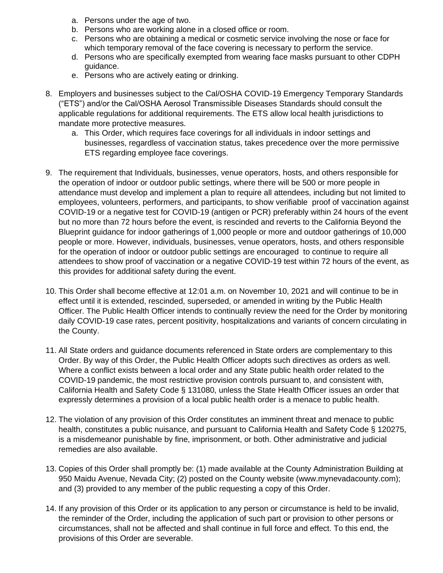- a. Persons under the age of two.
- b. Persons who are working alone in a closed office or room.
- c. Persons who are obtaining a medical or cosmetic service involving the nose or face for which temporary removal of the face covering is necessary to perform the service.
- d. Persons who are specifically exempted from wearing face masks pursuant to other CDPH guidance.
- e. Persons who are actively eating or drinking.
- 8. Employers and businesses subject to the Cal/OSHA COVID-19 Emergency Temporary Standards ("ETS") and/or the Cal/OSHA Aerosol Transmissible Diseases Standards should consult the applicable regulations for additional requirements. The ETS allow local health jurisdictions to mandate more protective measures.
	- a. This Order, which requires face coverings for all individuals in indoor settings and businesses, regardless of vaccination status, takes precedence over the more permissive ETS regarding employee face coverings.
- 9. The requirement that Individuals, businesses, venue operators, hosts, and others responsible for the operation of indoor or outdoor public settings, where there will be 500 or more people in attendance must develop and implement a plan to require all attendees, including but not limited to employees, volunteers, performers, and participants, to show verifiable proof of vaccination against COVID-19 or a negative test for COVID-19 (antigen or PCR) preferably within 24 hours of the event but no more than 72 hours before the event, is rescinded and reverts to the California Beyond the Blueprint guidance for indoor gatherings of 1,000 people or more and outdoor gatherings of 10,000 people or more. However, individuals, businesses, venue operators, hosts, and others responsible for the operation of indoor or outdoor public settings are encouraged to continue to require all attendees to show proof of vaccination or a negative COVID-19 test within 72 hours of the event, as this provides for additional safety during the event.
- 10. This Order shall become effective at 12:01 a.m. on November 10, 2021 and will continue to be in effect until it is extended, rescinded, superseded, or amended in writing by the Public Health Officer. The Public Health Officer intends to continually review the need for the Order by monitoring daily COVID-19 case rates, percent positivity, hospitalizations and variants of concern circulating in the County.
- 11. All State orders and guidance documents referenced in State orders are complementary to this Order. By way of this Order, the Public Health Officer adopts such directives as orders as well. Where a conflict exists between a local order and any State public health order related to the COVID-19 pandemic, the most restrictive provision controls pursuant to, and consistent with, California Health and Safety Code § 131080, unless the State Health Officer issues an order that expressly determines a provision of a local public health order is a menace to public health.
- 12. The violation of any provision of this Order constitutes an imminent threat and menace to public health, constitutes a public nuisance, and pursuant to California Health and Safety Code § 120275, is a misdemeanor punishable by fine, imprisonment, or both. Other administrative and judicial remedies are also available.
- 13. Copies of this Order shall promptly be: (1) made available at the County Administration Building at 950 Maidu Avenue, Nevada City; (2) posted on the County website (www.mynevadacounty.com); and (3) provided to any member of the public requesting a copy of this Order.
- 14. If any provision of this Order or its application to any person or circumstance is held to be invalid, the reminder of the Order, including the application of such part or provision to other persons or circumstances, shall not be affected and shall continue in full force and effect. To this end, the provisions of this Order are severable.